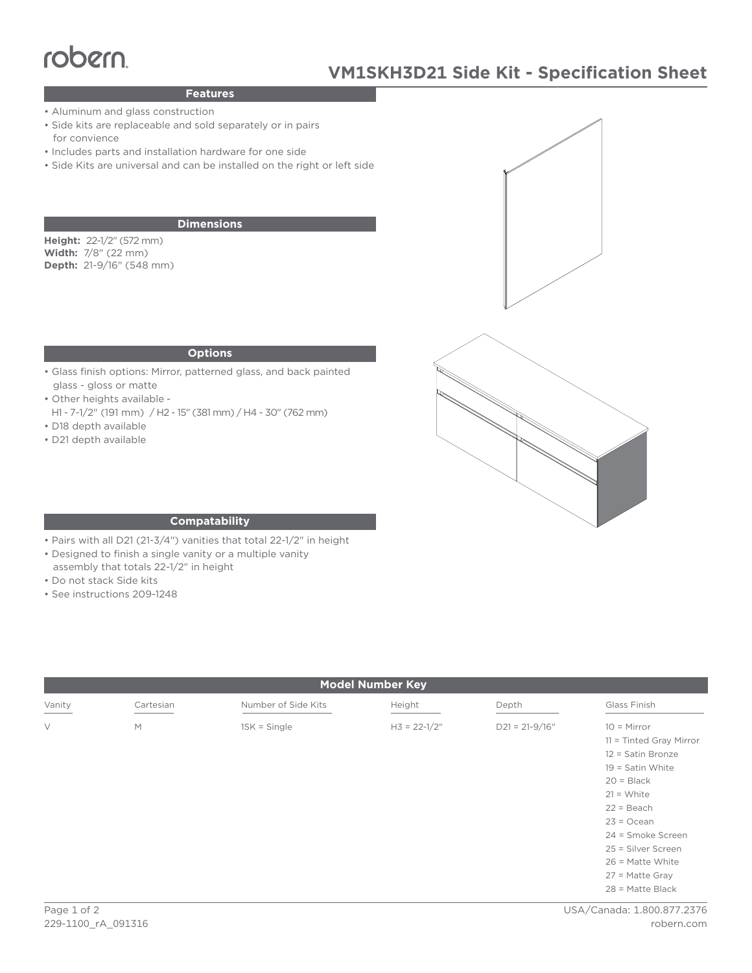# robern

## **Features**

- Aluminum and glass construction
- Side kits are replaceable and sold separately or in pairs for convience
- Includes parts and installation hardware for one side
- Side Kits are universal and can be installed on the right or left side

## **Dimensions**

**Height:** 22-1/2" (572 mm) **Width:** 7/8" (22 mm) **Depth:** 21-9/16" (548 mm)

#### **Options**

- Glass finish options: Mirror, patterned glass, and back painted glass - gloss or matte
- Other heights available -
- H1 7-1/2" (191 mm) / H2 15" (381 mm) / H4 30" (762 mm) • D18 depth available
- 
- D21 depth available





### **Compatability**

- Pairs with all D21 (21-3/4") vanities that total 22-1/2" in height
- Designed to finish a single vanity or a multiple vanity
- assembly that totals 22-1/2" in height
- Do not stack Side kits
- See instructions 209-1248

| <b>Model Number Key</b> |           |                     |                  |                    |                                                                                                                                                                                                                                                                   |
|-------------------------|-----------|---------------------|------------------|--------------------|-------------------------------------------------------------------------------------------------------------------------------------------------------------------------------------------------------------------------------------------------------------------|
| Vanity                  | Cartesian | Number of Side Kits | Height           | Depth              | Glass Finish                                                                                                                                                                                                                                                      |
| $\vee$                  | M         | $1SK = Single$      | $H3 = 22 - 1/2"$ | $D21 = 21 - 9/16"$ | $10 =$ Mirror<br>$11 =$ Tinted Gray Mirror<br>12 = Satin Bronze<br>$19 =$ Satin White<br>$20 = Black$<br>$21 = White$<br>$22 = Beach$<br>$23 = Ocean$<br>24 = Smoke Screen<br>25 = Silver Screen<br>$26$ = Matte White<br>$27$ = Matte Gray<br>$28$ = Matte Black |